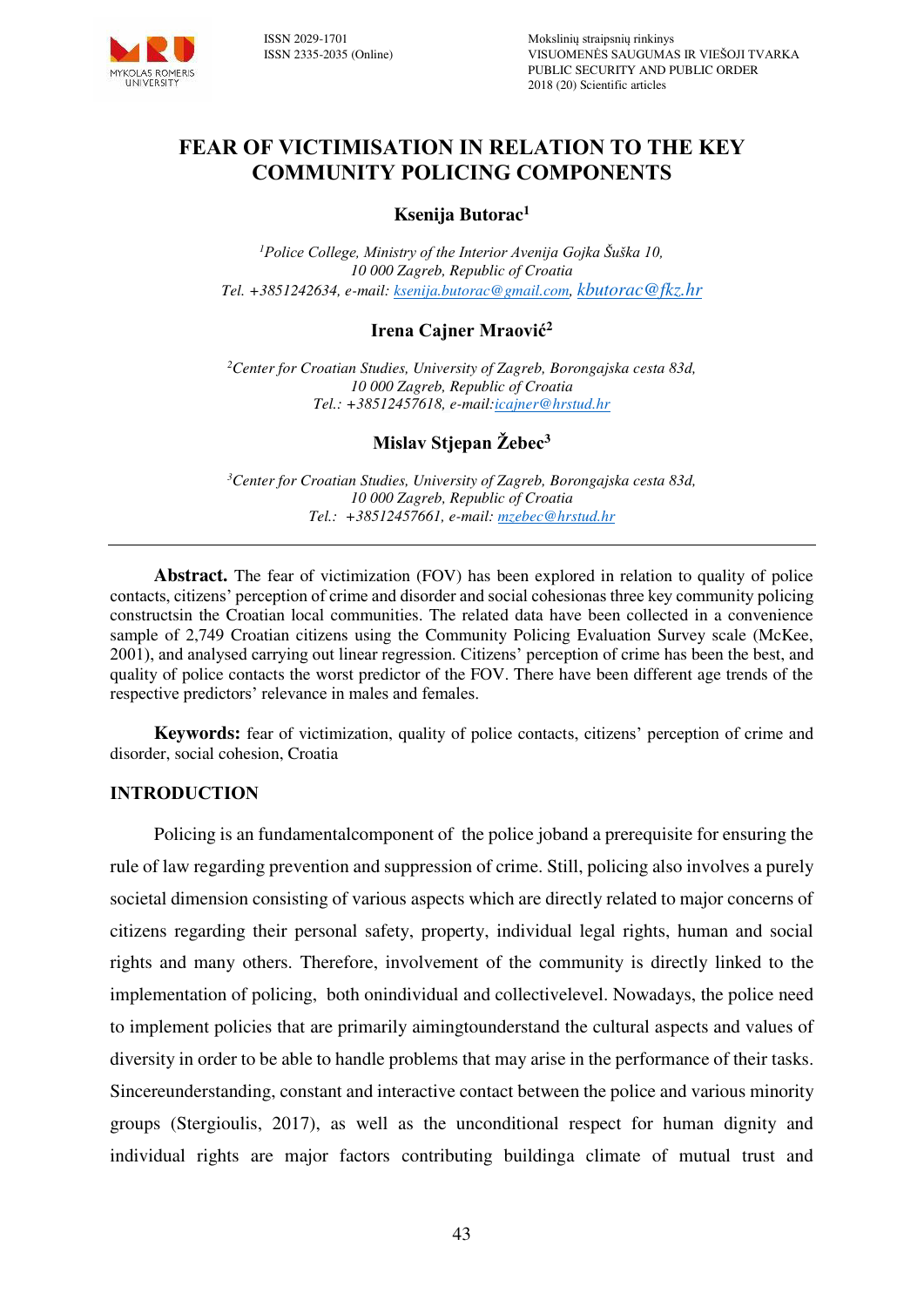

# **FEAR OF VICTIMISATION IN RELATION TO THE KEY COMMUNITY POLICING COMPONENTS**

#### **Ksenija Butorac<sup>1</sup>**

*<sup>1</sup>Police College, Ministry of the Interior Avenija Gojka Šuška 10, 10 000 Zagreb, Republic of Croatia Tel. +3851242634, e-mail[: ksenija.butorac@gmail.com,](mailto:ksenija.butorac@gmail.com) [kbutorac@fkz.hr](mailto:kbutorac@fkz.hr)*

## **Irena Cajner Mraović<sup>2</sup>**

*<sup>2</sup>Center for Croatian Studies, University of Zagreb, Borongajska cesta 83d, 10 000 Zagreb, Republic of Croatia Tel.: +38512457618, e-mail[:icajner@hrstud.hr](mailto:icajner@hrstud.hr)*

## **Mislav Stjepan Žebec<sup>3</sup>**

*<sup>3</sup>Center for Croatian Studies, University of Zagreb, Borongajska cesta 83d, 10 000 Zagreb, Republic of Croatia Tel.: +38512457661, e-mail[: mzebec@hrstud.hr](mailto:mzebec@hrstud.hr)* 

**Abstract.** The fear of victimization (FOV) has been explored in relation to quality of police contacts, citizens' perception of crime and disorder and social cohesionas three key community policing constructsin the Croatian local communities. The related data have been collected in a convenience sample of 2,749 Croatian citizens using the Community Policing Evaluation Survey scale (McKee, 2001), and analysed carrying out linear regression. Citizens' perception of crime has been the best, and quality of police contacts the worst predictor of the FOV. There have been different age trends of the respective predictors' relevance in males and females.

**Keywords:** fear of victimization, quality of police contacts, citizens' perception of crime and disorder, social cohesion, Croatia

#### **INTRODUCTION**

Policing is an fundamentalcomponent of the police joband a prerequisite for ensuring the rule of law regarding prevention and suppression of crime. Still, policing also involves a purely societal dimension consisting of various aspects which are directly related to major concerns of citizens regarding their personal safety, property, individual legal rights, human and social rights and many others. Therefore, involvement of the community is directly linked to the implementation of policing, both onindividual and collectivelevel. Nowadays, the police need to implement policies that are primarily aimingtounderstand the cultural aspects and values of diversity in order to be able to handle problems that may arise in the performance of their tasks. Sincereunderstanding, constant and interactive contact between the police and various minority groups (Stergioulis, 2017), as well as the unconditional respect for human dignity and individual rights are major factors contributing buildinga climate of mutual trust and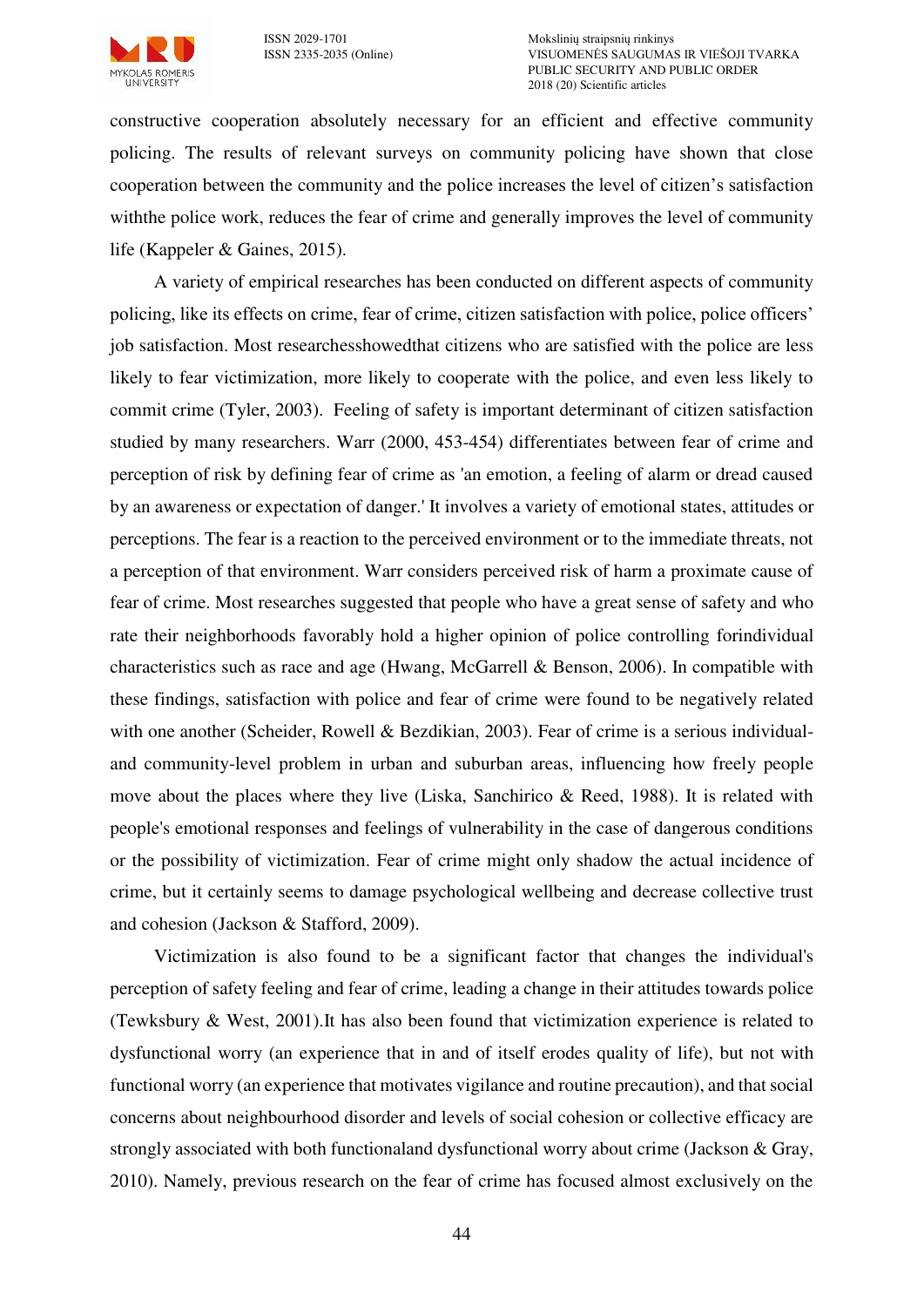

constructive cooperation absolutely necessary for an efficient and effective community policing. The results of relevant surveys on community policing have shown that close cooperation between the community and the police increases the level of citizen's satisfaction withthe police work, reduces the fear of crime and generally improves the level of community life (Kappeler & Gaines, 2015).

A variety of empirical researches has been conducted on different aspects of community policing, like its effects on crime, fear of crime, citizen satisfaction with police, police officers' job satisfaction. Most researchesshowedthat citizens who are satisfied with the police are less likely to fear victimization, more likely to cooperate with the police, and even less likely to commit crime (Tyler, 2003). Feeling of safety is important determinant of citizen satisfaction studied by many researchers. Warr (2000, 453-454) differentiates between fear of crime and perception of risk by defining fear of crime as 'an emotion, a feeling of alarm or dread caused by an awareness or expectation of danger.' It involves a variety of emotional states, attitudes or perceptions. The fear is a reaction to the perceived environment or to the immediate threats, not a perception of that environment. Warr considers perceived risk of harm a proximate cause of fear of crime. Most researches suggested that people who have a great sense of safety and who rate their neighborhoods favorably hold a higher opinion of police controlling forindividual characteristics such as race and age (Hwang, McGarrell & Benson, 2006). In compatible with these findings, satisfaction with police and fear of crime were found to be negatively related with one another (Scheider, Rowell & Bezdikian, 2003). Fear of crime is a serious individualand community-level problem in urban and suburban areas, influencing how freely people move about the places where they live (Liska, Sanchirico & Reed, 1988). It is related with people's emotional responses and feelings of vulnerability in the case of dangerous conditions or the possibility of victimization. Fear of crime might only shadow the actual incidence of crime, but it certainly seems to damage psychological wellbeing and decrease collective trust and cohesion (Jackson & Stafford, 2009).

Victimization is also found to be a significant factor that changes the individual's perception of safety feeling and fear of crime, leading a change in their attitudes towards police (Tewksbury & West, 2001).It has also been found that victimization experience is related to dysfunctional worry (an experience that in and of itself erodes quality of life), but not with functional worry (an experience that motivates vigilance and routine precaution), and that social concerns about neighbourhood disorder and levels of social cohesion or collective efficacy are strongly associated with both functionaland dysfunctional worry about crime (Jackson & Gray, 2010). Namely, previous research on the fear of crime has focused almost exclusively on the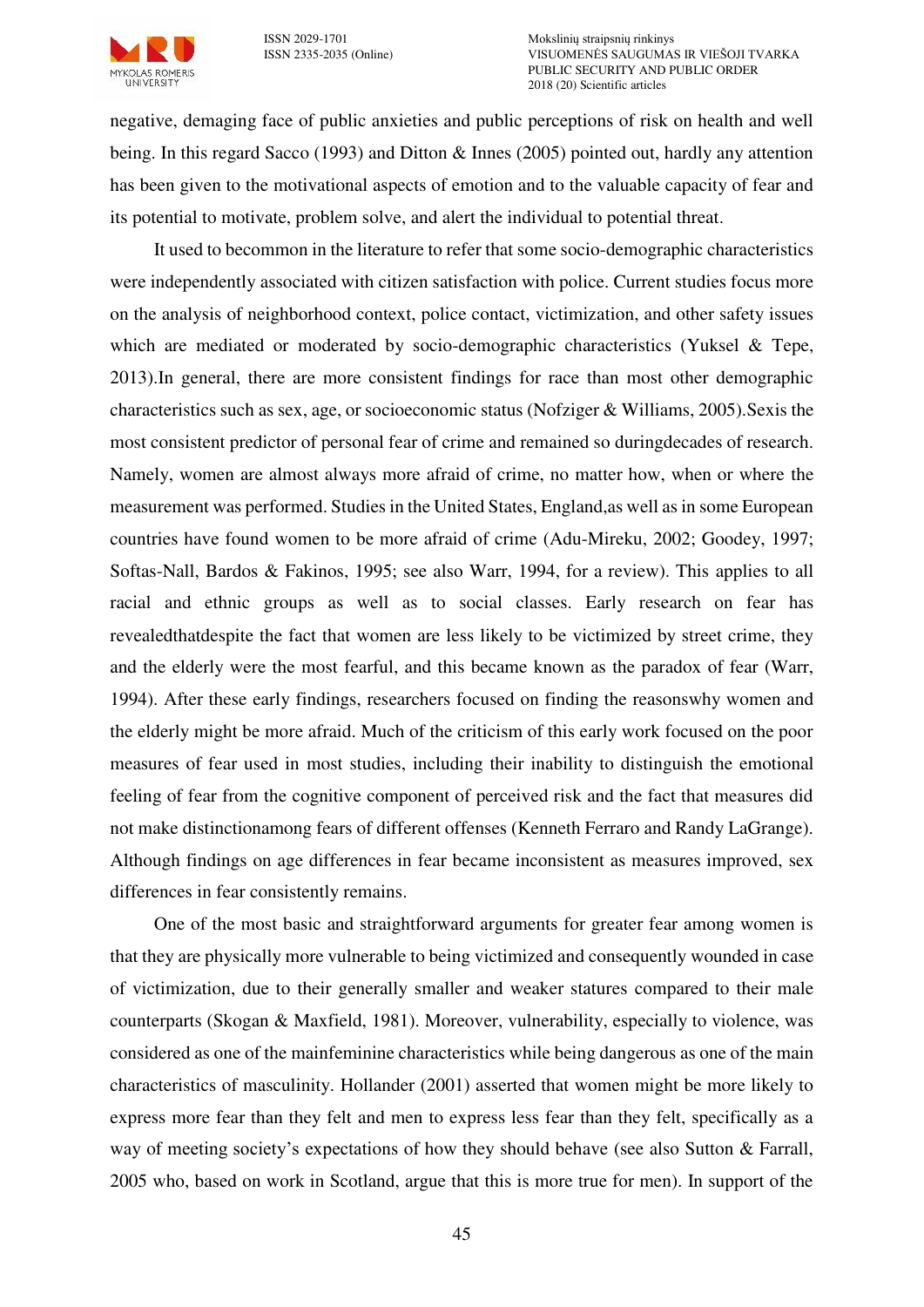

ISSN 2029-1701 Mokslinių straipsnių rinkinys VISUOMENĖS SAUGUMAS IR VIEŠOJI TVARKA PUBLIC SECURITY AND PUBLIC ORDER 2018 (20) Scientific articles

negative, demaging face of public anxieties and public perceptions of risk on health and well being. In this regard Sacco (1993) and Ditton & Innes (2005) pointed out, hardly any attention has been given to the motivational aspects of emotion and to the valuable capacity of fear and its potential to motivate, problem solve, and alert the individual to potential threat.

It used to becommon in the literature to refer that some socio-demographic characteristics were independently associated with citizen satisfaction with police. Current studies focus more on the analysis of neighborhood context, police contact, victimization, and other safety issues which are mediated or moderated by socio-demographic characteristics (Yuksel & Tepe, 2013).In general, there are more consistent findings for race than most other demographic characteristics such as sex, age, or socioeconomic status (Nofziger & Williams, 2005).Sexis the most consistent predictor of personal fear of crime and remained so duringdecades of research. Namely, women are almost always more afraid of crime, no matter how, when or where the measurement was performed. Studies in the United States, England,as well as in some European countries have found women to be more afraid of crime (Adu-Mireku, 2002; Goodey, 1997; Softas-Nall, Bardos & Fakinos, 1995; see also Warr, 1994, for a review). This applies to all racial and ethnic groups as well as to social classes. Early research on fear has revealedthatdespite the fact that women are less likely to be victimized by street crime, they and the elderly were the most fearful, and this became known as the paradox of fear (Warr, 1994). After these early findings, researchers focused on finding the reasonswhy women and the elderly might be more afraid. Much of the criticism of this early work focused on the poor measures of fear used in most studies, including their inability to distinguish the emotional feeling of fear from the cognitive component of perceived risk and the fact that measures did not make distinctionamong fears of different offenses (Kenneth Ferraro and Randy LaGrange). Although findings on age differences in fear became inconsistent as measures improved, sex differences in fear consistently remains.

One of the most basic and straightforward arguments for greater fear among women is that they are physically more vulnerable to being victimized and consequently wounded in case of victimization, due to their generally smaller and weaker statures compared to their male counterparts (Skogan & Maxfield, 1981). Moreover, vulnerability, especially to violence, was considered as one of the mainfeminine characteristics while being dangerous as one of the main characteristics of masculinity. Hollander (2001) asserted that women might be more likely to express more fear than they felt and men to express less fear than they felt, specifically as a way of meeting society's expectations of how they should behave (see also Sutton & Farrall, 2005 who, based on work in Scotland, argue that this is more true for men). In support of the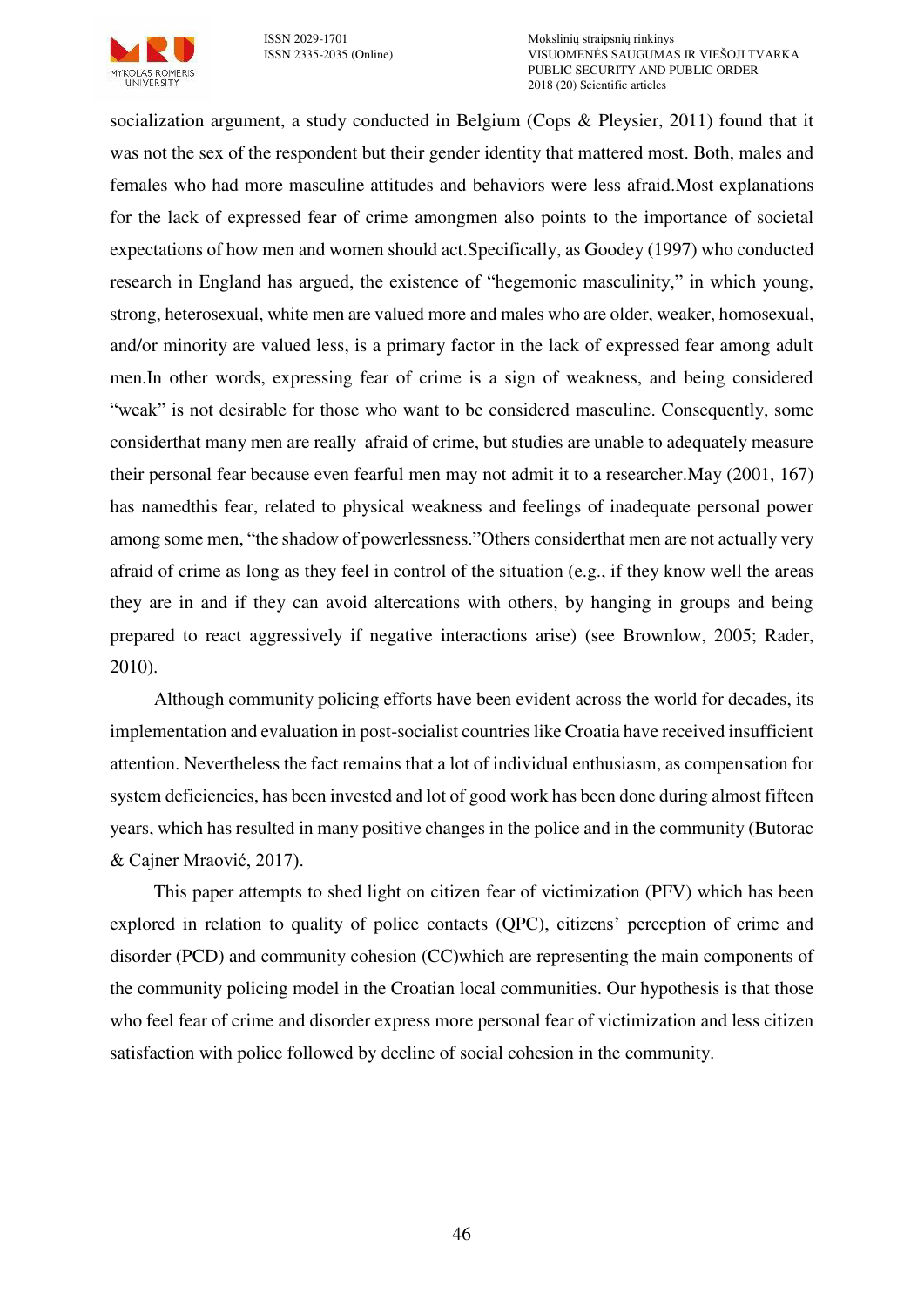

ISSN 2029-1701 Mokslinių straipsnių rinkinys VISUOMENĖS SAUGUMAS IR VIEŠOJI TVARKA PUBLIC SECURITY AND PUBLIC ORDER 2018 (20) Scientific articles

socialization argument, a study conducted in Belgium (Cops & Pleysier, 2011) found that it was not the sex of the respondent but their gender identity that mattered most. Both, males and females who had more masculine attitudes and behaviors were less afraid.Most explanations for the lack of expressed fear of crime amongmen also points to the importance of societal expectations of how men and women should act.Specifically, as Goodey (1997) who conducted research in England has argued, the existence of "hegemonic masculinity," in which young, strong, heterosexual, white men are valued more and males who are older, weaker, homosexual, and/or minority are valued less, is a primary factor in the lack of expressed fear among adult men.In other words, expressing fear of crime is a sign of weakness, and being considered "weak" is not desirable for those who want to be considered masculine. Consequently, some considerthat many men are really afraid of crime, but studies are unable to adequately measure their personal fear because even fearful men may not admit it to a researcher.May (2001, 167) has namedthis fear, related to physical weakness and feelings of inadequate personal power among some men, "the shadow of powerlessness."Others considerthat men are not actually very afraid of crime as long as they feel in control of the situation (e.g., if they know well the areas they are in and if they can avoid altercations with others, by hanging in groups and being prepared to react aggressively if negative interactions arise) (see Brownlow, 2005; Rader, 2010).

Although community policing efforts have been evident across the world for decades, its implementation and evaluation in post-socialist countries like Croatia have received insufficient attention. Nevertheless the fact remains that a lot of individual enthusiasm, as compensation for system deficiencies, has been invested and lot of good work has been done during almost fifteen years, which has resulted in many positive changes in the police and in the community (Butorac & Cajner Mraović, 2017).

This paper attempts to shed light on citizen fear of victimization (PFV) which has been explored in relation to quality of police contacts (QPC), citizens' perception of crime and disorder (PCD) and community cohesion (CC)which are representing the main components of the community policing model in the Croatian local communities. Our hypothesis is that those who feel fear of crime and disorder express more personal fear of victimization and less citizen satisfaction with police followed by decline of social cohesion in the community.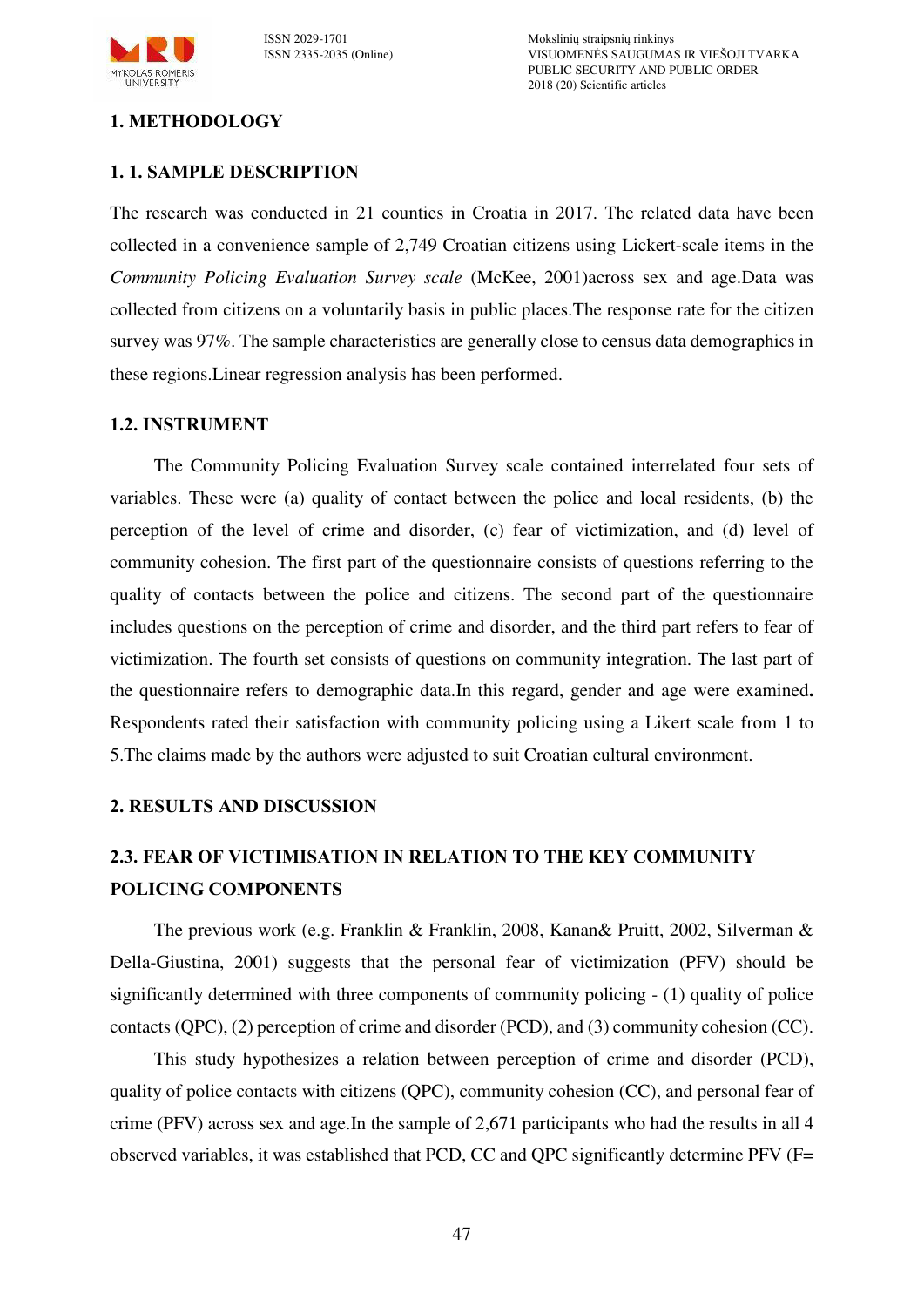

ISSN 2029-1701 Mokslinių straipsnių rinkinys VISUOMENĖS SAUGUMAS IR VIEŠOJI TVARKA PUBLIC SECURITY AND PUBLIC ORDER 2018 (20) Scientific articles

# **1. METHODOLOGY**

# **1. 1. SAMPLE DESCRIPTION**

The research was conducted in 21 counties in Croatia in 2017. The related data have been collected in a convenience sample of 2,749 Croatian citizens using Lickert-scale items in the *Community Policing Evaluation Survey scale* (McKee, 2001)across sex and age.Data was collected from citizens on a voluntarily basis in public places.The response rate for the citizen survey was 97%. The sample characteristics are generally close to census data demographics in these regions.Linear regression analysis has been performed.

# **1.2. INSTRUMENT**

The Community Policing Evaluation Survey scale contained interrelated four sets of variables. These were (a) quality of contact between the police and local residents, (b) the perception of the level of crime and disorder, (c) fear of victimization, and (d) level of community cohesion. The first part of the questionnaire consists of questions referring to the quality of contacts between the police and citizens. The second part of the questionnaire includes questions on the perception of crime and disorder, and the third part refers to fear of victimization. The fourth set consists of questions on community integration. The last part of the questionnaire refers to demographic data.In this regard, gender and age were examined**.** Respondents rated their satisfaction with community policing using a Likert scale from 1 to 5.The claims made by the authors were adjusted to suit Croatian cultural environment.

#### **2. RESULTS AND DISCUSSION**

# **2.3. FEAR OF VICTIMISATION IN RELATION TO THE KEY COMMUNITY POLICING COMPONENTS**

The previous work (e.g. Franklin & Franklin, 2008, Kanan& Pruitt, 2002, Silverman & Della-Giustina, 2001) suggests that the personal fear of victimization (PFV) should be significantly determined with three components of community policing - (1) quality of police contacts (QPC), (2) perception of crime and disorder (PCD), and (3) community cohesion (CC).

This study hypothesizes a relation between perception of crime and disorder (PCD), quality of police contacts with citizens (QPC), community cohesion (CC), and personal fear of crime (PFV) across sex and age.In the sample of 2,671 participants who had the results in all 4 observed variables, it was established that PCD, CC and QPC significantly determine PFV (F=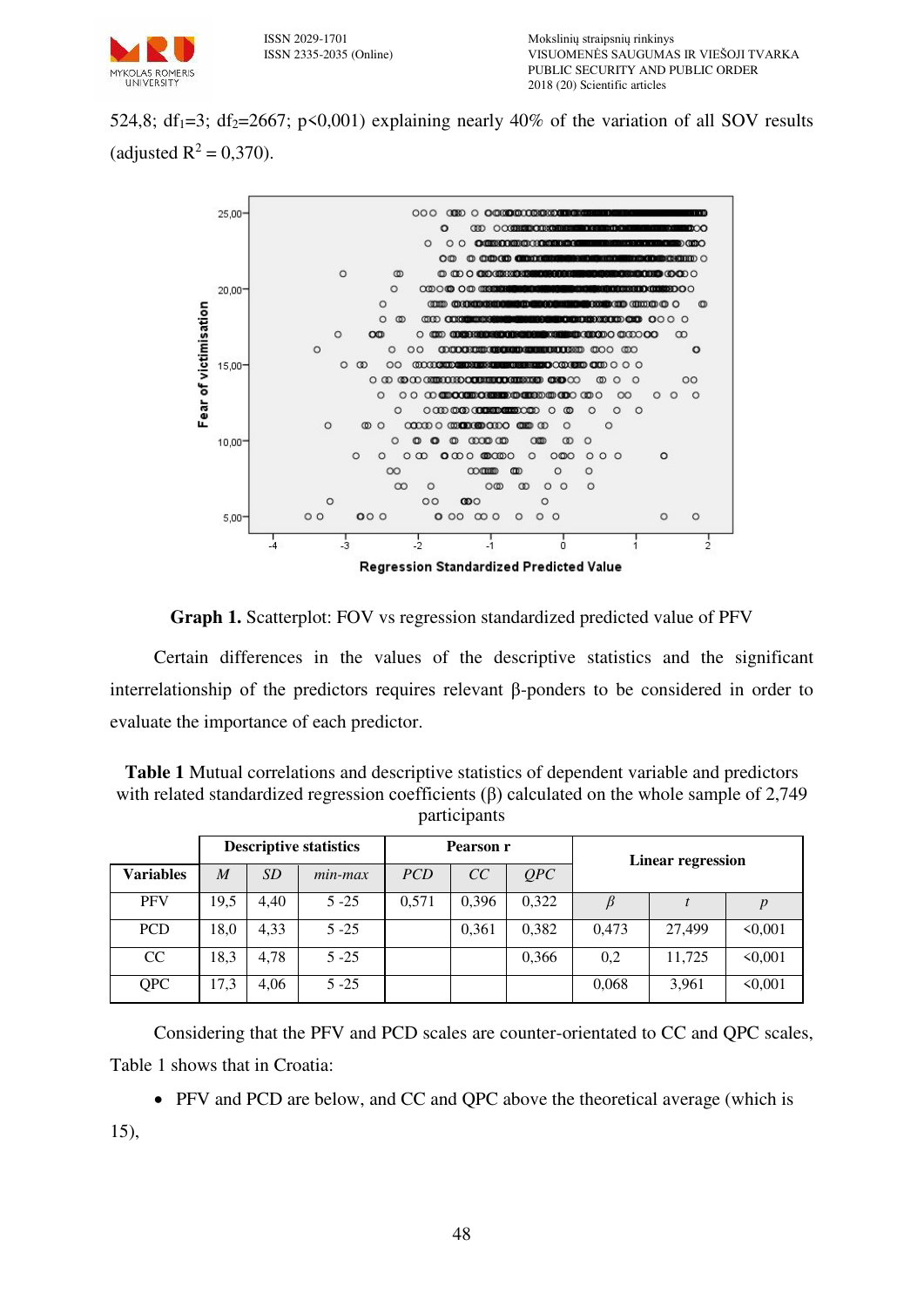

524,8; df<sub>1</sub>=3; df<sub>2</sub>=2667; p<0,001) explaining nearly 40% of the variation of all SOV results (adjusted  $R^2 = 0,370$ ).



## **Graph 1.** Scatterplot: FOV vs regression standardized predicted value of PFV

Certain differences in the values of the descriptive statistics and the significant interrelationship of the predictors requires relevant β-ponders to be considered in order to evaluate the importance of each predictor.

| <b>Table 1</b> Mutual correlations and descriptive statistics of dependent variable and predictors  |
|-----------------------------------------------------------------------------------------------------|
| with related standardized regression coefficients $(\beta)$ calculated on the whole sample of 2,749 |
| participants                                                                                        |

|                  | <b>Descriptive statistics</b> |           | Pearson r  |            |       | Linear regression |       |        |              |
|------------------|-------------------------------|-----------|------------|------------|-------|-------------------|-------|--------|--------------|
| <b>Variables</b> | $\boldsymbol{M}$              | <i>SD</i> | $min$ -max | <i>PCD</i> | CC    | OPC               |       |        |              |
| <b>PFV</b>       | 19,5                          | 4,40      | $5 - 25$   | 0.571      | 0,396 | 0,322             |       |        |              |
| <b>PCD</b>       | 18,0                          | 4,33      | $5 - 25$   |            | 0,361 | 0,382             | 0.473 | 27.499 | $\leq 0.001$ |
| CC               | 18,3                          | 4.78      | $5 - 25$   |            |       | 0,366             | 0,2   | 11,725 | $\leq 0.001$ |
| <b>QPC</b>       | 17,3                          | 4,06      | $5 - 25$   |            |       |                   | 0,068 | 3,961  | $\leq 0.001$ |

Considering that the PFV and PCD scales are counter-orientated to CC and QPC scales, Table 1 shows that in Croatia:

• PFV and PCD are below, and CC and QPC above the theoretical average (which is

15),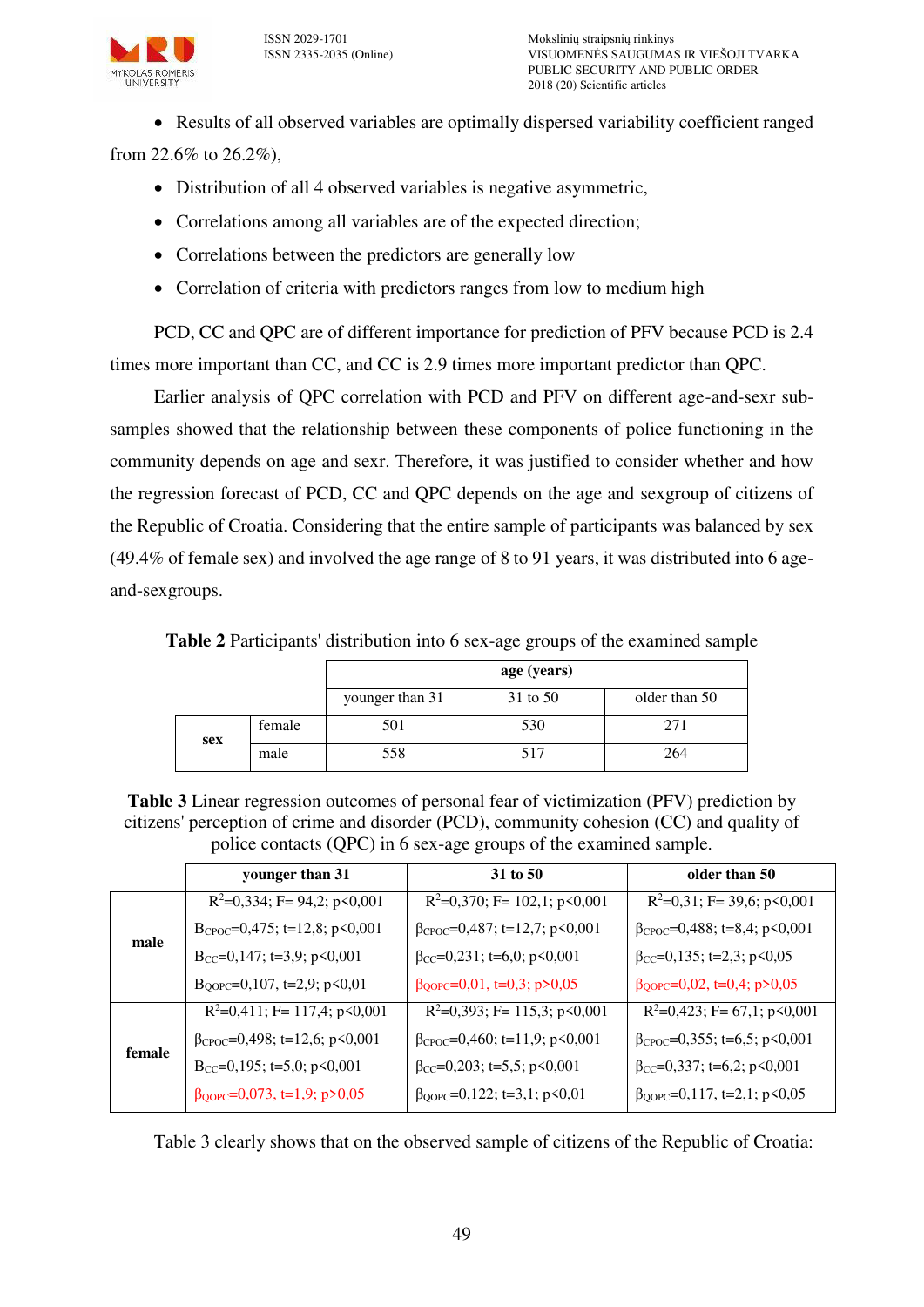

• Results of all observed variables are optimally dispersed variability coefficient ranged

from 22.6% to 26.2%),

- Distribution of all 4 observed variables is negative asymmetric,
- Correlations among all variables are of the expected direction;
- Correlations between the predictors are generally low
- Correlation of criteria with predictors ranges from low to medium high

PCD, CC and QPC are of different importance for prediction of PFV because PCD is 2.4 times more important than CC, and CC is 2.9 times more important predictor than QPC.

Earlier analysis of QPC correlation with PCD and PFV on different age-and-sexr subsamples showed that the relationship between these components of police functioning in the community depends on age and sexr. Therefore, it was justified to consider whether and how the regression forecast of PCD, CC and QPC depends on the age and sexgroup of citizens of the Republic of Croatia. Considering that the entire sample of participants was balanced by sex (49.4% of female sex) and involved the age range of 8 to 91 years, it was distributed into 6 ageand-sexgroups.

**Table 2** Participants' distribution into 6 sex-age groups of the examined sample

|     |        | age (years)     |          |               |  |  |
|-----|--------|-----------------|----------|---------------|--|--|
|     |        | younger than 31 | 31 to 50 | older than 50 |  |  |
| sex | female | 501             | 530      | 271           |  |  |
|     | male   | 558             | 517      | 264           |  |  |

**Table 3** Linear regression outcomes of personal fear of victimization (PFV) prediction by citizens' perception of crime and disorder (PCD), community cohesion (CC) and quality of police contacts (QPC) in 6 sex-age groups of the examined sample.

|        | younger than 31                           | 31 to 50                                           | older than 50                                |
|--------|-------------------------------------------|----------------------------------------------------|----------------------------------------------|
|        | $R^2=0,334$ ; F= 94,2; p<0,001            | $R^2=0,370$ ; F= 102,1; p<0,001                    | $R^2=0,31$ ; F= 39,6; p<0,001                |
| male   | B <sub>CPOC</sub> =0,475; t=12,8; p<0,001 | $\beta$ CPOC=0,487; t=12,7; p<0,001                | $\beta$ CPOC=0,488; t=8,4; p<0,001           |
|        | $B_{CC} = 0,147$ ; t=3,9; p<0,001         | $\beta_{CC} = 0.231$ ; t=6,0; p<0,001              | $\beta_{CC} = 0, 135; t = 2, 3; p < 0, 05$   |
|        | $B_{QOPC} = 0,107$ , t=2,9; p<0,01        | $\beta_{QOPC} = 0.01$ , t=0,3; p>0,05              | $\beta_{\text{QOPC}} = 0.02$ , t=0,4; p>0,05 |
| female | $R^2=0,411$ ; F= 117,4; p<0,001           | $R^2=0,393; F=115,3; p\leq 0,001$                  | $R^2=0,423$ ; F= 67,1; p<0,001               |
|        | $\beta_{CPOC} = 0,498$ ; t=12,6; p<0,001  | $\beta_{\text{CPOC}} = 0,460; t = 11,9; p < 0,001$ | $\beta_{CPOC} = 0,355$ ; t=6,5; p<0,001      |
|        | Bcc=0,195; t=5,0; p<0,001                 | $\beta_{CC} = 0,203$ ; t=5,5; p<0,001              | $\beta_{CC} = 0,337$ ; t=6,2; p<0,001        |
|        | $\beta_{QOPC} = 0.073$ , t=1,9; p>0,05    | $\beta_{QOPC} = 0,122$ ; t=3,1; p<0,01             | $\beta_{QOPC} = 0,117, t = 2,1; p < 0,05$    |
|        |                                           |                                                    |                                              |

Table 3 clearly shows that on the observed sample of citizens of the Republic of Croatia: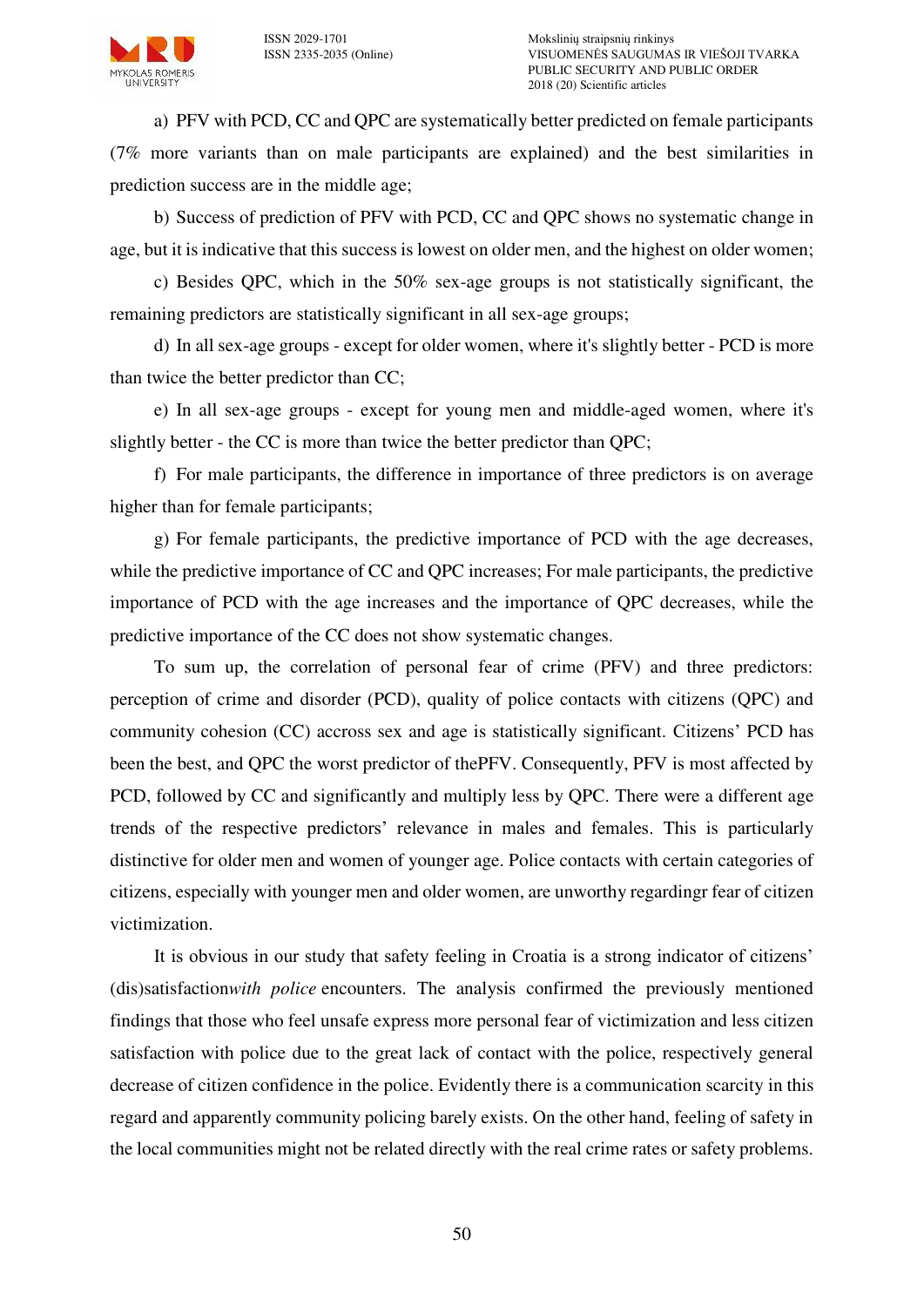

a) PFV with PCD, CC and QPC are systematically better predicted on female participants (7% more variants than on male participants are explained) and the best similarities in prediction success are in the middle age;

b) Success of prediction of PFV with PCD, CC and QPC shows no systematic change in age, but it is indicative that this success is lowest on older men, and the highest on older women;

c) Besides QPC, which in the 50% sex-age groups is not statistically significant, the remaining predictors are statistically significant in all sex-age groups;

d) In all sex-age groups - except for older women, where it's slightly better - PCD is more than twice the better predictor than CC;

e) In all sex-age groups - except for young men and middle-aged women, where it's slightly better - the CC is more than twice the better predictor than QPC;

f) For male participants, the difference in importance of three predictors is on average higher than for female participants;

g) For female participants, the predictive importance of PCD with the age decreases, while the predictive importance of CC and OPC increases; For male participants, the predictive importance of PCD with the age increases and the importance of QPC decreases, while the predictive importance of the CC does not show systematic changes.

To sum up, the correlation of personal fear of crime (PFV) and three predictors: perception of crime and disorder (PCD), quality of police contacts with citizens (QPC) and community cohesion (CC) accross sex and age is statistically significant. Citizens' PCD has been the best, and QPC the worst predictor of thePFV. Consequently, PFV is most affected by PCD, followed by CC and significantly and multiply less by QPC. There were a different age trends of the respective predictors' relevance in males and females. This is particularly distinctive for older men and women of younger age. Police contacts with certain categories of citizens, especially with younger men and older women, are unworthy regardingr fear of citizen victimization.

It is obvious in our study that safety feeling in Croatia is a strong indicator of citizens' (dis)satisfaction*with police* encounters. The analysis confirmed the previously mentioned findings that those who feel unsafe express more personal fear of victimization and less citizen satisfaction with police due to the great lack of contact with the police, respectively general decrease of citizen confidence in the police. Evidently there is a communication scarcity in this regard and apparently community policing barely exists. On the other hand, feeling of safety in the local communities might not be related directly with the real crime rates or safety problems.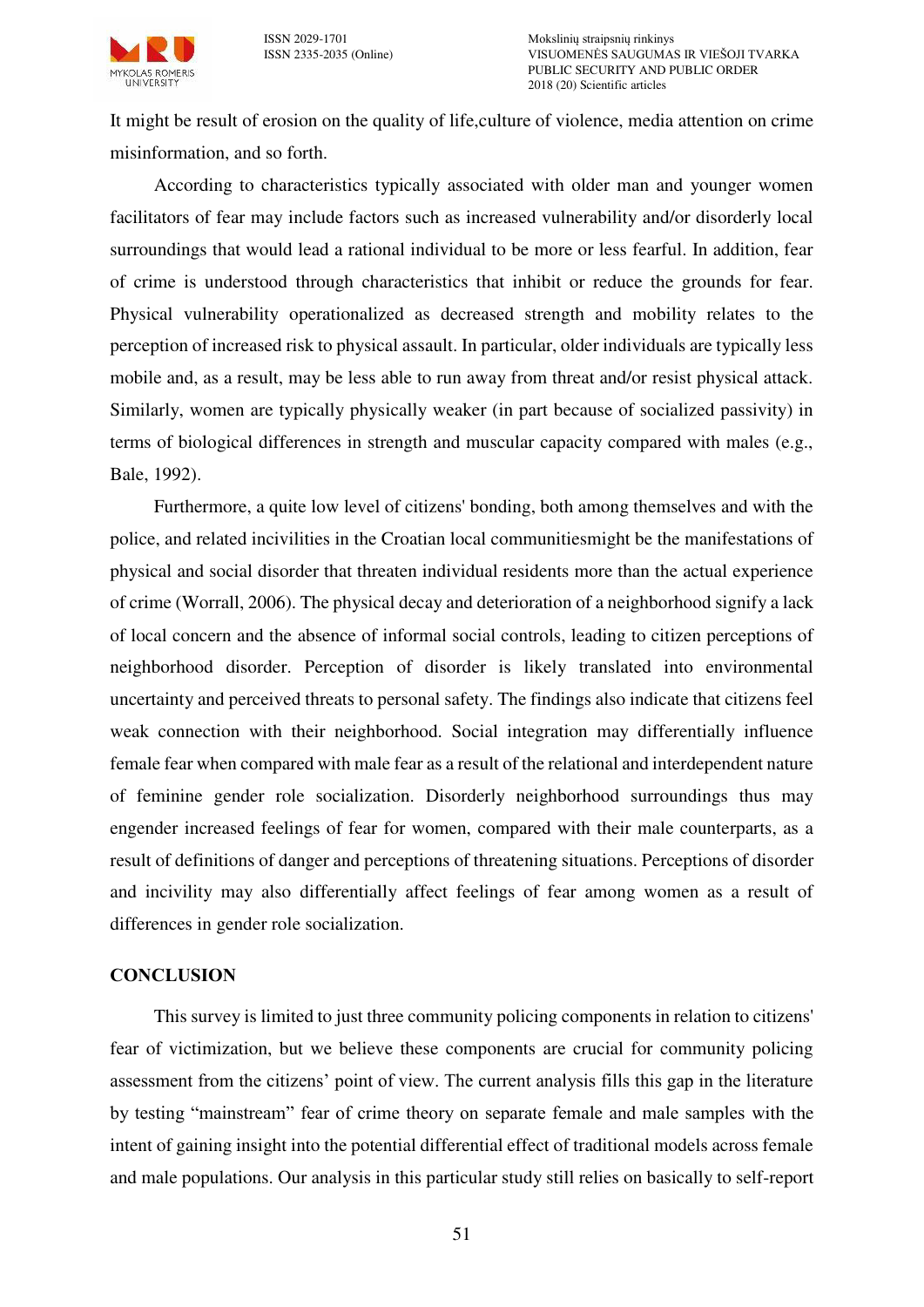

It might be result of erosion on the quality of life,culture of violence, media attention on crime misinformation, and so forth.

According to characteristics typically associated with older man and younger women facilitators of fear may include factors such as increased vulnerability and/or disorderly local surroundings that would lead a rational individual to be more or less fearful. In addition, fear of crime is understood through characteristics that inhibit or reduce the grounds for fear. Physical vulnerability operationalized as decreased strength and mobility relates to the perception of increased risk to physical assault. In particular, older individuals are typically less mobile and, as a result, may be less able to run away from threat and/or resist physical attack. Similarly, women are typically physically weaker (in part because of socialized passivity) in terms of biological differences in strength and muscular capacity compared with males (e.g., Bale, 1992).

Furthermore, a quite low level of citizens' bonding, both among themselves and with the police, and related incivilities in the Croatian local communitiesmight be the manifestations of physical and social disorder that threaten individual residents more than the actual experience of crime (Worrall, 2006). The physical decay and deterioration of a neighborhood signify a lack of local concern and the absence of informal social controls, leading to citizen perceptions of neighborhood disorder. Perception of disorder is likely translated into environmental uncertainty and perceived threats to personal safety. The findings also indicate that citizens feel weak connection with their neighborhood. Social integration may differentially influence female fear when compared with male fear as a result of the relational and interdependent nature of feminine gender role socialization. Disorderly neighborhood surroundings thus may engender increased feelings of fear for women, compared with their male counterparts, as a result of definitions of danger and perceptions of threatening situations. Perceptions of disorder and incivility may also differentially affect feelings of fear among women as a result of differences in gender role socialization.

#### **CONCLUSION**

This survey is limited to just three community policing components in relation to citizens' fear of victimization, but we believe these components are crucial for community policing assessment from the citizens' point of view. The current analysis fills this gap in the literature by testing "mainstream" fear of crime theory on separate female and male samples with the intent of gaining insight into the potential differential effect of traditional models across female and male populations. Our analysis in this particular study still relies on basically to self-report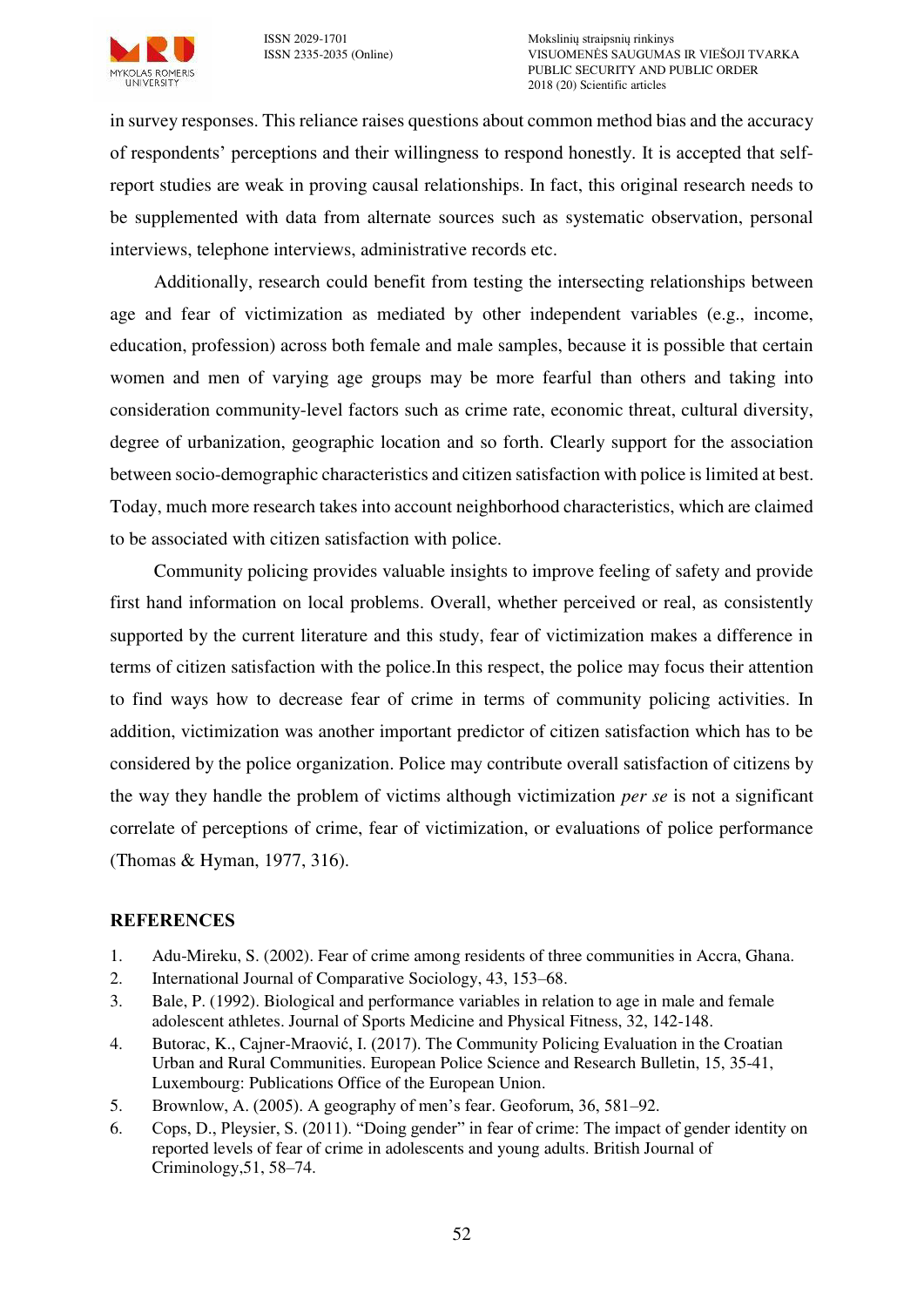

in survey responses. This reliance raises questions about common method bias and the accuracy of respondents' perceptions and their willingness to respond honestly. It is accepted that selfreport studies are weak in proving causal relationships. In fact, this original research needs to be supplemented with data from alternate sources such as systematic observation, personal interviews, telephone interviews, administrative records etc.

Additionally, research could benefit from testing the intersecting relationships between age and fear of victimization as mediated by other independent variables (e.g., income, education, profession) across both female and male samples, because it is possible that certain women and men of varying age groups may be more fearful than others and taking into consideration community-level factors such as crime rate, economic threat, cultural diversity, degree of urbanization, geographic location and so forth. Clearly support for the association between socio-demographic characteristics and citizen satisfaction with police is limited at best. Today, much more research takes into account neighborhood characteristics, which are claimed to be associated with citizen satisfaction with police.

Community policing provides valuable insights to improve feeling of safety and provide first hand information on local problems. Overall, whether perceived or real, as consistently supported by the current literature and this study, fear of victimization makes a difference in terms of citizen satisfaction with the police.In this respect, the police may focus their attention to find ways how to decrease fear of crime in terms of community policing activities. In addition, victimization was another important predictor of citizen satisfaction which has to be considered by the police organization. Police may contribute overall satisfaction of citizens by the way they handle the problem of victims although victimization *per se* is not a significant correlate of perceptions of crime, fear of victimization, or evaluations of police performance (Thomas & Hyman, 1977, 316).

## **REFERENCES**

- 1. Adu-Mireku, S. (2002). Fear of crime among residents of three communities in Accra, Ghana.
- 2. International Journal of Comparative Sociology, 43, 153–68.
- 3. Bale, P. (1992). Biological and performance variables in relation to age in male and female adolescent athletes. Journal of Sports Medicine and Physical Fitness, 32, 142-148.
- 4. Butorac, K., Cajner-Mraović, I. (2017). The Community Policing Evaluation in the Croatian Urban and Rural Communities. European Police Science and Research Bulletin, 15, 35-41, Luxembourg: Publications Office of the European Union.
- 5. Brownlow, A. (2005). A geography of men's fear. Geoforum, 36, 581–92.
- 6. Cops, D., Pleysier, S. (2011). "Doing gender" in fear of crime: The impact of gender identity on reported levels of fear of crime in adolescents and young adults. British Journal of Criminology,51, 58–74.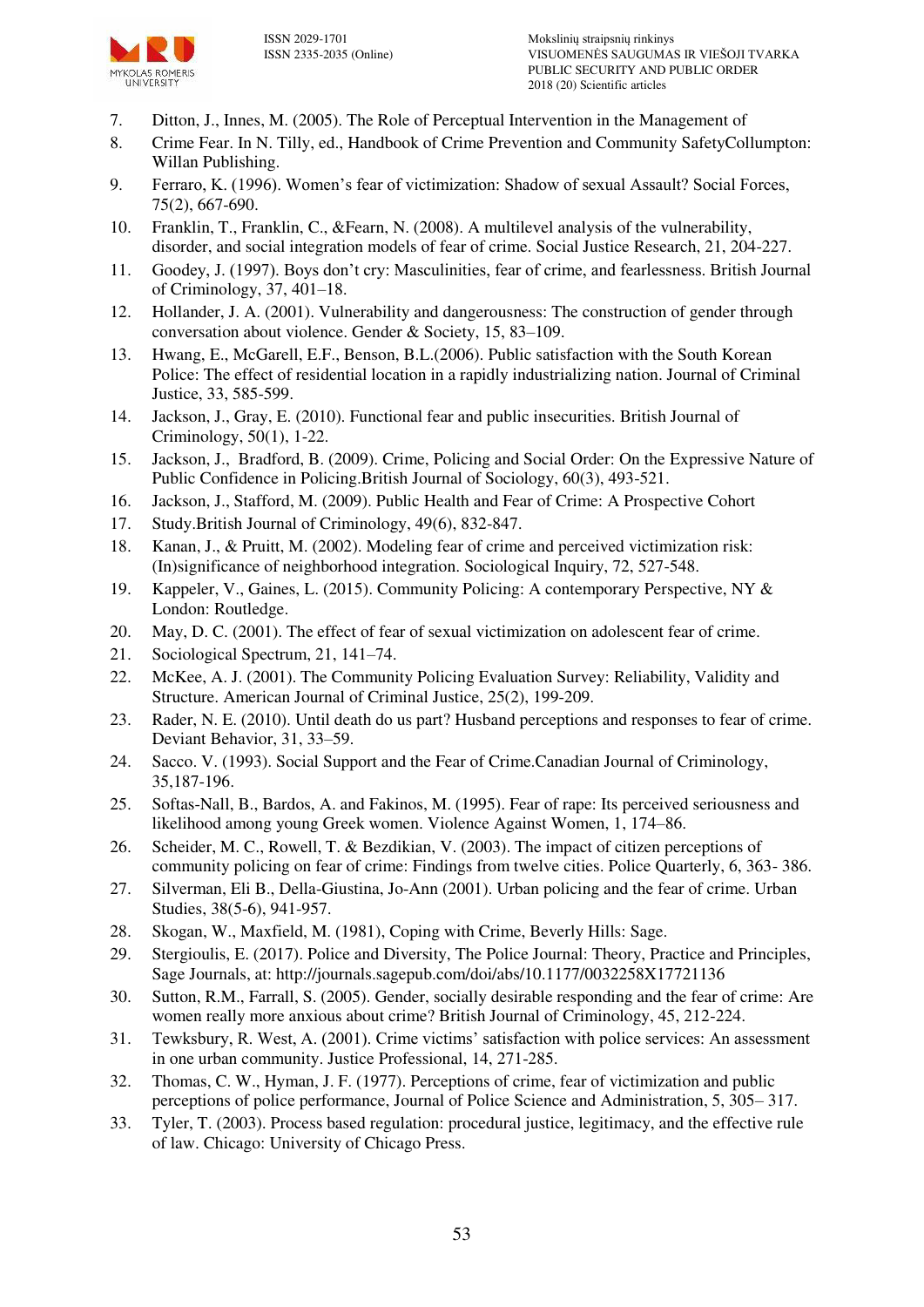

- 7. Ditton, J., Innes, M. (2005). The Role of Perceptual Intervention in the Management of
- 8. Crime Fear. In N. Tilly, ed., Handbook of Crime Prevention and Community SafetyCollumpton: Willan Publishing.
- 9. Ferraro, K. (1996). Women's fear of victimization: Shadow of sexual Assault? Social Forces, 75(2), 667-690.
- 10. Franklin, T., Franklin, C., &Fearn, N. (2008). A multilevel analysis of the vulnerability, disorder, and social integration models of fear of crime. Social Justice Research, 21, 204-227.
- 11. Goodey, J. (1997). Boys don't cry: Masculinities, fear of crime, and fearlessness. British Journal of Criminology, 37, 401–18.
- 12. Hollander, J. A. (2001). Vulnerability and dangerousness: The construction of gender through conversation about violence. Gender & Society, 15, 83–109.
- 13. Hwang, E., McGarell, E.F., Benson, B.L.(2006). Public satisfaction with the South Korean Police: The effect of residential location in a rapidly industrializing nation. Journal of Criminal Justice, 33, 585-599.
- 14. Jackson, J., Gray, E. (2010). Functional fear and public insecurities. British Journal of Criminology, 50(1), 1-22.
- 15. Jackson, J., Bradford, B. (2009). Crime, Policing and Social Order: On the Expressive Nature of Public Confidence in Policing.British Journal of Sociology, 60(3), 493-521.
- 16. Jackson, J., Stafford, M. (2009). Public Health and Fear of Crime: A Prospective Cohort
- 17. Study.British Journal of Criminology, 49(6), 832-847.
- 18. Kanan, J., & Pruitt, M. (2002). Modeling fear of crime and perceived victimization risk: (In)significance of neighborhood integration. Sociological Inquiry, 72, 527-548.
- 19. Kappeler, V., Gaines, L. (2015). Community Policing: A contemporary Perspective, NY & London: Routledge.
- 20. May, D. C. (2001). The effect of fear of sexual victimization on adolescent fear of crime.
- 21. Sociological Spectrum, 21, 141–74.
- 22. McKee, A. J. (2001). The Community Policing Evaluation Survey: Reliability, Validity and Structure. American Journal of Criminal Justice, 25(2), 199-209.
- 23. Rader, N. E. (2010). Until death do us part? Husband perceptions and responses to fear of crime. Deviant Behavior, 31, 33–59.
- 24. Sacco. V. (1993). Social Support and the Fear of Crime.Canadian Journal of Criminology, 35,187-196.
- 25. Softas-Nall, B., Bardos, A. and Fakinos, M. (1995). Fear of rape: Its perceived seriousness and likelihood among young Greek women. Violence Against Women, 1, 174–86.
- 26. Scheider, M. C., Rowell, T. & Bezdikian, V. (2003). The impact of citizen perceptions of community policing on fear of crime: Findings from twelve cities. Police Quarterly, 6, 363- 386.
- 27. Silverman, Eli B., Della-Giustina, Jo-Ann (2001). Urban policing and the fear of crime. Urban Studies, 38(5-6), 941-957.
- 28. Skogan, W., Maxfield, M. (1981), Coping with Crime, Beverly Hills: Sage.
- 29. Stergioulis, E. (2017). Police and Diversity, The Police Journal: Theory, Practice and Principles, Sage Journals, at: http://journals.sagepub.com/doi/abs/10.1177/0032258X17721136
- 30. Sutton, R.M., Farrall, S. (2005). Gender, socially desirable responding and the fear of crime: Are women really more anxious about crime? British Journal of Criminology, 45, 212-224.
- 31. Tewksbury, R. West, A. (2001). Crime victims' satisfaction with police services: An assessment in one urban community. Justice Professional, 14, 271-285.
- 32. Thomas, C. W., Hyman, J. F. (1977). Perceptions of crime, fear of victimization and public perceptions of police performance, Journal of Police Science and Administration, 5, 305– 317.
- 33. Tyler, T. (2003). Process based regulation: procedural justice, legitimacy, and the effective rule of law. Chicago: University of Chicago Press.